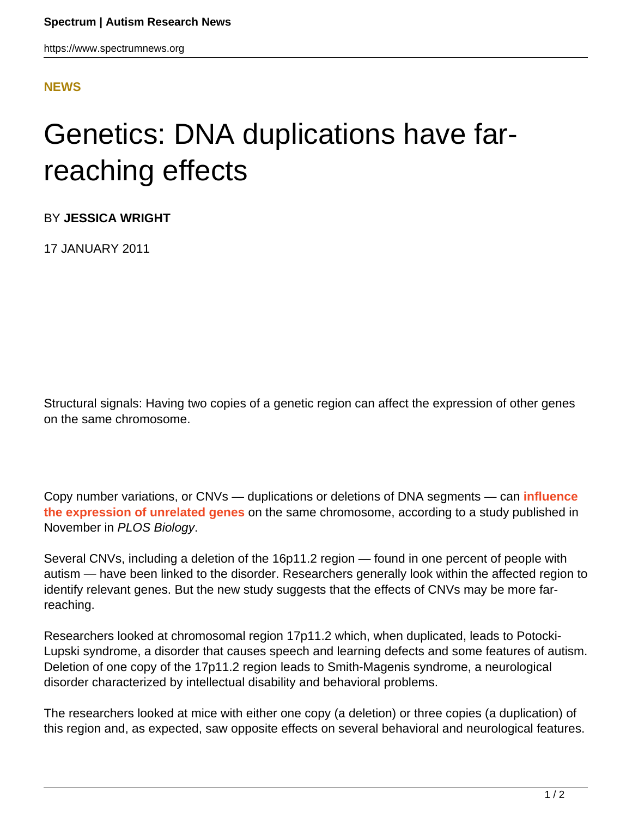## **[NEWS](HTTPS://WWW.SPECTRUMNEWS.ORG/NEWS/)**

## Genetics: DNA duplications have farreaching effects

BY **JESSICA WRIGHT**

17 JANUARY 2011

Structural signals: Having two copies of a genetic region can affect the expression of other genes on the same chromosome.

Copy number variations, or CNVs — duplications or deletions of DNA segments — can **[influence](http://www.ncbi.nlm.nih.gov/pubmed/21124890) [the expression of unrelated genes](http://www.ncbi.nlm.nih.gov/pubmed/21124890)** on the same chromosome, according to a study published in November in PLOS Biology.

Several CNVs, including a deletion of the 16p11.2 region — found in one percent of people with autism — have been linked to the disorder. Researchers generally look within the affected region to identify relevant genes. But the new study suggests that the effects of CNVs may be more farreaching.

Researchers looked at chromosomal region 17p11.2 which, when duplicated, leads to Potocki-Lupski syndrome, a disorder that causes speech and learning defects and some features of autism. Deletion of one copy of the 17p11.2 region leads to Smith-Magenis syndrome, a neurological disorder characterized by intellectual disability and behavioral problems.

The researchers looked at mice with either one copy (a deletion) or three copies (a duplication) of this region and, as expected, saw opposite effects on several behavioral and neurological features.